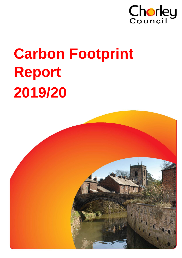

# **Carbon Footprint Report 2019/20**

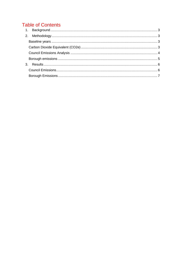# **Table of Contents**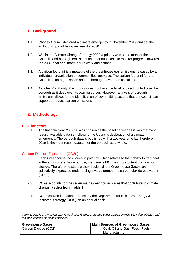# <span id="page-2-0"></span>**1. Background**

- 1.1. Chorley Council declared a climate emergency in November 2019 and set the ambitious goal of being net zero by 2030.
- 1.2. Within the Climate Change Strategy 2022 a priority was set to monitor the Councils and borough emissions on an annual basis to monitor progress towards the 2030 goal and inform future work and actions.
- 1.3. A carbon footprint is a measure of the greenhouse gas emissions released by an individual, organisation or communities' activities. The carbon footprint for the Council as an organisation and the borough have been calculated.
- 1.4. As a tier 2 authority, the council does not have the level of direct control over the borough as it does over its own resources. However, analysis of borough emissions allows for the identification of key emitting sectors that the council can support to reduce carbon emissions.

# <span id="page-2-1"></span>**2. Methodology**

#### <span id="page-2-2"></span>Baseline years

2.1. The financial year 2019/20 was chosen as the baseline year as it was the most readily available data set following the Councils declaration of a climate emergency. The borough data is published with a two-year time lag therefore 2019 is the most recent dataset for the borough as a whole.

#### <span id="page-2-3"></span>Carbon Dioxide Equivalent (CO2e)

- 2.2. Each Greenhouse Gas varies in potency, which relates to their ability to trap heat in the atmosphere. For example, methane is 80 times more potent than carbon dioxide. Therefore, to standardise results, all the Greenhouse Gases are collectively expressed under a single value termed the carbon dioxide equivalent (CO2e).
- 2.3. CO2e accounts for the seven main Greenhouse Gases that contribute to climate change, as detailed in Table 1.
- 2.4. CO2e conversion factors are set by the Department for Business, Energy & Industrial Strategy (BEIS) on an annual basis.

*Table 1: Details of the seven main Greenhouse Gases, expressed under Carbon Dioxide Equivalent (CO2e), and the main sources for these emissions.*

| <b>Greenhouse Gases</b> | <b>Main Sources of Greenhouse Gases</b> |
|-------------------------|-----------------------------------------|
| Carbon Dioxide (CO2)    | - Coal, Oil and Gas (Fossil Fuels)      |
|                         | Manufacturing                           |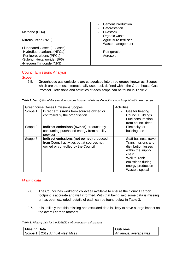|                              | <b>Cement Production</b> |
|------------------------------|--------------------------|
|                              | Deforestation            |
| Methane (CH4)                | Livestock                |
|                              | Organic waste            |
| Nitrous Oxide (N2O)          | Agriculture fertiliser   |
|                              | Waste management         |
| Fluorinated Gases (F-Gases): |                          |
| -Hydrofluorocarbons (HFCs)   | Refrigeration            |
| -Perfluorocarbons (PFCs)     | Aerosols                 |
| -Sulphur Hexafluoride (SF6)  |                          |
| -Nitrogen Trifluoride (NF3)  |                          |

### <span id="page-3-0"></span>Council Emissions Analysis

#### *Scope*

2.5. Greenhouse gas emissions are catagorised into three groups known as 'Scopes' which are the most internationally used tool, defined within the Greenhouse Gas Protocol. Definitions and activities of each scope can be found in Table 2.

*Table 2: Description of the emission sources included within the Councils carbon footprint within each scope*

|         | <b>Greenhouse Gases Emissions Scopes</b>                                                                                    | Activities                                                                                                                                                                 |
|---------|-----------------------------------------------------------------------------------------------------------------------------|----------------------------------------------------------------------------------------------------------------------------------------------------------------------------|
| Scope 1 | Direct emissions from sources owned or<br>controlled by the organisation                                                    | Gas for heating<br><b>Council Buildings</b><br>Fuel consumption<br>from council fleet                                                                                      |
| Scope 2 | Indirect emissions (owned) produced by<br>consuming purchased energy from a utility<br>provider                             | <b>Electricity for</b><br>building use                                                                                                                                     |
| Scope 3 | Indirect emissions (not owned) produced<br>from Council activities but at sources not<br>owned or controlled by the Council | Staff business travel<br>Transmissions and<br>distribution losses<br>within the supply<br>chain<br>Well to Tank<br>emissions during<br>energy production<br>Waste disposal |

#### *Missing data*

- 2.6. The Council has worked to collect all available to ensure the Council carbon footprint is accurate and well informed. With that being said some data is missing or has been excluded, details of each can be found below in Table 3.
- 2.7. It is unlikely that this missing and excluded data is likely to have a large impact on the overall carbon footprint.

*Table 3: Missing data for the 2019/20 carbon footprint calculations*

| <b>Missing Data</b> |                         | <b>Outcome</b>        |
|---------------------|-------------------------|-----------------------|
| Scope 1             | 2019 Annual Fleet Miles | An annual average was |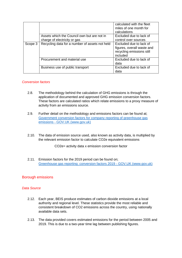|         |                                                | calculated with the fleet<br>miles of one month for<br>calculations                            |
|---------|------------------------------------------------|------------------------------------------------------------------------------------------------|
|         | Assets which the Council own but are not in    | Excluded due to lack of                                                                        |
|         | charge of electricity or gas                   | control over sources                                                                           |
| Scope 3 | Recycling data for a number of assets not held | Excluded due to lack of<br>figures, overall waste and<br>recycling emissions still<br>included |
|         | Procurement and material use                   | Excluded due to lack of<br>data                                                                |
|         | Business use of public transport               | Excluded due to lack of<br>data                                                                |

#### *Conversion factors*

- 2.8. The methodology behind the calculation of GHG emissions is through the application of documented and approved GHG emission conversion factors. These factors are calculated ratios which relate emissions to a proxy measure of activity from an emissions source.
- 2.9. Further detail on the methodology and emissions factors can be found at; Government conversion factors for company reporting of greenhouse gas emissions - GOV.UK (www.gov.uk)
- 2.10. The data of emission source used, also known as activity data, is multiplied by the relevant emission factor to calculate CO2e equivalent emissions

CO2e= activity data x emission conversion factor

2.11. Emission factors for the 2019 period can be found on; Greenhouse gas reporting: conversion factors 2019 - GOV.UK (www.gov.uk)

#### <span id="page-4-0"></span>Borough emissions

#### *Data Source*

- 2.12. Each year, BEIS produce estimates of carbon dioxide emissions at a local authority and regional level. These statistics provide the most reliable and consistent breakdown of CO2 emissions across the country, using nationally available data sets.
- 2.13. The data provided covers estimated emissions for the period between 2005 and 2019. This is due to a two-year time lag between publishing figures.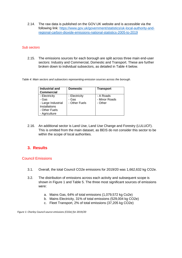2.14. The raw data is published on the GOV.UK website and is accessible via the following link: [https://www.gov.uk/government/statistics/uk-local-authority-and](https://www.gov.uk/government/statistics/uk-local-authority-and-regional-carbon-dioxide-emissions-national-statistics-2005-to-2019)[regional-carbon-dioxide-emissions-national-statistics-2005-to-2019](https://www.gov.uk/government/statistics/uk-local-authority-and-regional-carbon-dioxide-emissions-national-statistics-2005-to-2019)

#### *Sub sectors*

2.15. The emissions sources for each borough are split across three main end-user sectors: Industry and Commercial, Domestic and Transport. These are further broken down to individual subsectors, as detailed in Table 4 below.

*Table 4: Main sectors and subsectors representing emission sources across the borough.*

| <b>Industrial and</b><br><b>Commercial</b> | <b>Domestic</b> | <b>Transport</b> |
|--------------------------------------------|-----------------|------------------|
| - Electricity                              | - Electricity   | - A Roads        |
| - Gas                                      | - Gas           | - Minor Roads    |
| - Large Industrial                         | - Other Fuels   | - Other          |
| Installations                              |                 |                  |
| - Other Fuels                              |                 |                  |
| - Agriculture                              |                 |                  |

2.16. An additional sector is Land Use, Land Use Change and Forestry (LULUCF). This is omitted from the main dataset, as BEIS do not consider this sector to be within the scope of local authorities.

# <span id="page-5-0"></span>**3. Results**

#### <span id="page-5-1"></span>Council Emissions

- 3.1. Overall, the total Council CO2e emissions for 2019/20 was 1,662,632 kg CO2e.
- 3.2. The distribution of emissions across each activity and subsequent scope is shown in Figure 1 and Table 5. The three most significant sources of emissions were:
	- a. Mains Gas, 64% of total emissions (1,079,572 kg Co2e)
	- b. Mains Electricity, 31% of total emissions (529,004 kg CO2e)
	- c. Fleet Transport, 2% of total emissions (37,205 kg CO2e)

*Figure 1: Chorley Council source emissions (CO2e) for 2019/20*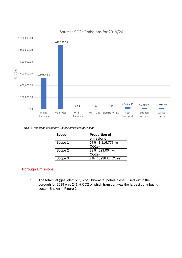

#### Sources CO2e Emissions for 2019/20

*Table 5: Proportion of Chorley Council emissions per scope*

| <b>Scope</b> | <b>Proportion of</b><br>emissions       |
|--------------|-----------------------------------------|
| Scope 1      | 67% (1,116,777 kg<br>CO <sub>2e</sub> ) |
| Scope 2      | 32% (529,004 kg<br>CO <sub>2e</sub> )   |
| Scope 3      | 2% (43938 kg CO2e)                      |

#### <span id="page-6-0"></span>Borough Emissions

3.3. The total fuel (gas, electricity, coal, biowaste, petrol, diesel) used within the borough for 2019 was 241 kt CO2 of which transport was the largest contributing sector. Shown in Figure 2.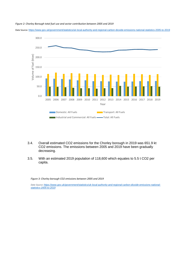#### *Figure 2: Chorley Borough total fuel use and sector contribution between 2005 and 2019*

Date Source: <https://www.gov.uk/government/statistics/uk-local-authority-and-regional-carbon-dioxide-emissions-national-statistics-2005-to-2019>



- 3.4. Overall estimated CO2 emissions for the Chorley borough in 2019 was 651.9 kt CO2 emissions. The emissions between 2005 and 2019 have been gradually decreasing.
- 3.5. With an estimated 2019 population of 118,600 which equates to 5.5 t CO2 per capita.

*Figure 3: Chorley borough CO2 emissions between 2005 and 2019*

*Date Source: [https://www.gov.uk/government/statistics/uk-local-authority-and-regional-carbon-dioxide-emissions-national](https://www.gov.uk/government/statistics/uk-local-authority-and-regional-carbon-dioxide-emissions-national-statistics-2005-to-2019)[statistics-2005-to-2019](https://www.gov.uk/government/statistics/uk-local-authority-and-regional-carbon-dioxide-emissions-national-statistics-2005-to-2019)*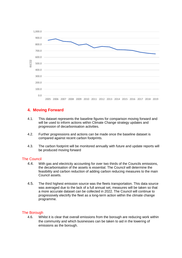

## **4. Moving Forward**

- 4.1. This dataset represents the baseline figures for comparison moving forward and will be used to inform actions within Climate Change strategy updates and progression of decarbonisation activities.
- 4.2. Further progressions and actions can be made once the baseline dataset is compared against recent carbon footprints.
- 4.3. The carbon footprint will be monitored annually with future and update reports will be produced moving forward

#### The Council

- 4.4. With gas and electricity accounting for over two thirds of the Councils emissions, the decarbonisation of the assets is essential. The Council will determine the feasibility and carbon reduction of adding carbon reducing measures to the main Council assets.
- 4.5. The third highest emission source was the fleets transportation. This data source was averaged due to the lack of a full annual set, measures will be taken so that a more accurate dataset can be collected in 2022. The Council will continue to progressively electrify the fleet as a long-term action within the climate change programme.

#### The Borough

4.6. Whilst it is clear that overall emissions from the borough are reducing work within the community and which businesses can be taken to aid in the lowering of emissions as the borough.